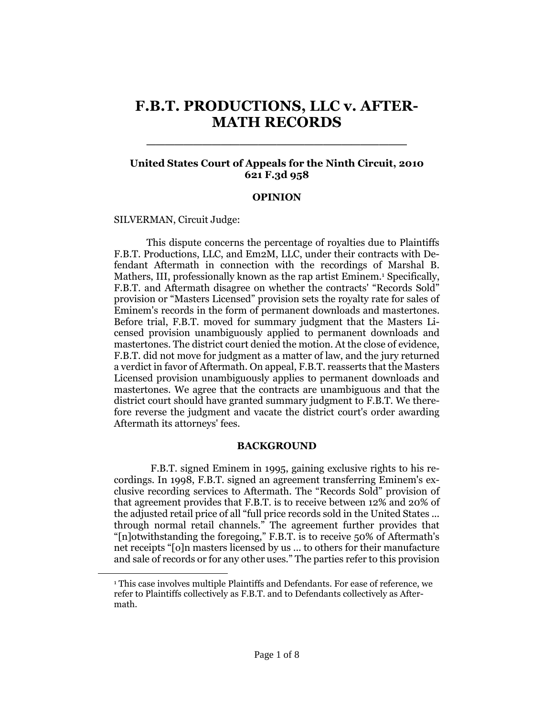# **F.B.T. PRODUCTIONS, LLC v. AFTER-MATH RECORDS**

\_\_\_\_\_\_\_\_\_\_\_\_\_\_\_\_\_\_\_\_\_\_\_\_\_\_\_\_

## **United States Court of Appeals for the Ninth Circuit, 2010 621 F.3d 958**

#### **OPINION**

[SILVERMAN,](http://www.westlaw.com/Find/Default.wl?rs=dfa1.0&vr=2.0&DB=PROFILER-WLD&DocName=0148761001&FindType=h) Circuit Judge:

 $\overline{\phantom{a}}$ 

This dispute concerns the percentage of royalties due to Plaintiffs F.B.T. Productions, LLC, and Em2M, LLC, under their contracts with Defendant Aftermath in connection with the recordings of Marshal B. Mathers, III, professionally known as the rap artist Eminem.<sup>1</sup> Specifically, F.B.T. and Aftermath disagree on whether the contracts' "Records Sold" provision or "Masters Licensed" provision sets the royalty rate for sales of Eminem's records in the form of permanent downloads and mastertones. Before trial, F.B.T. moved for summary judgment that the Masters Licensed provision unambiguously applied to permanent downloads and mastertones. The district court denied the motion. At the close of evidence, F.B.T. did not move for judgment as a matter of law, and the jury returned a verdict in favor of Aftermath. On appeal, F.B.T. reasserts that the Masters Licensed provision unambiguously applies to permanent downloads and mastertones. We agree that the contracts are unambiguous and that the district court should have granted summary judgment to F.B.T. We therefore reverse the judgment and vacate the district court's order awarding Aftermath its attorneys' fees.

#### **BACKGROUND**

F.B.T. signed Eminem in 1995, gaining exclusive rights to his recordings. In 1998, F.B.T. signed an agreement transferring Eminem's exclusive recording services to Aftermath. The "Records Sold" provision of that agreement provides that F.B.T. is to receive between 12% and 20% of the adjusted retail price of all "full price records sold in the United States ... through normal retail channels." The agreement further provides that "[n]otwithstanding the foregoing," F.B.T. is to receive 50% of Aftermath's net receipts "[o]n masters licensed by us ... to others for their manufacture and sale of records or for any other uses." The parties refer to this provision

<sup>&</sup>lt;sup>1</sup> This case involves multiple Plaintiffs and Defendants. For ease of reference, we refer to Plaintiffs collectively as F.B.T. and to Defendants collectively as Aftermath.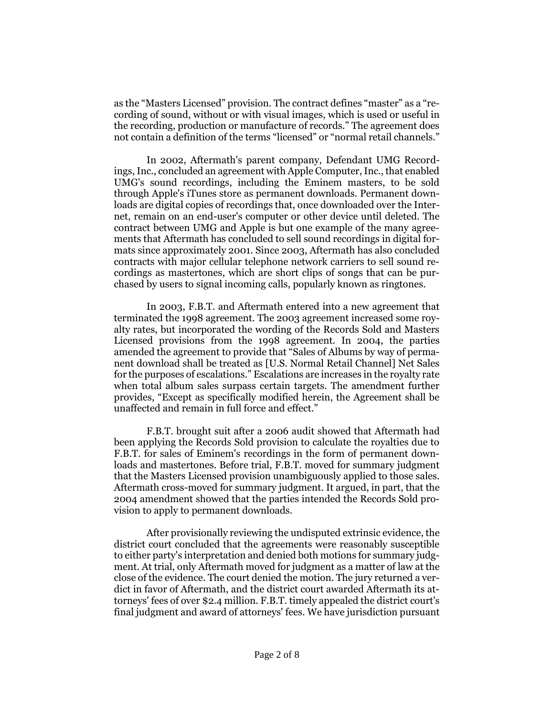as the "Masters Licensed" provision. The contract defines "master" as a "recording of sound, without or with visual images, which is used or useful in the recording, production or manufacture of records." The agreement does not contain a definition of the terms "licensed" or "normal retail channels."

In 2002, Aftermath's parent company, Defendant UMG Recordings, Inc., concluded an agreement with Apple Computer, Inc., that enabled UMG's sound recordings, including the Eminem masters, to be sold through Apple's iTunes store as permanent downloads. Permanent downloads are digital copies of recordings that, once downloaded over the Internet, remain on an end-user's computer or other device until deleted. The contract between UMG and Apple is but one example of the many agreements that Aftermath has concluded to sell sound recordings in digital formats since approximately 2001. Since 2003, Aftermath has also concluded contracts with major cellular telephone network carriers to sell sound recordings as mastertones, which are short clips of songs that can be purchased by users to signal incoming calls, popularly known as ringtones.

In 2003, F.B.T. and Aftermath entered into a new agreement that terminated the 1998 agreement. The 2003 agreement increased some royalty rates, but incorporated the wording of the Records Sold and Masters Licensed provisions from the 1998 agreement. In 2004, the parties amended the agreement to provide that "Sales of Albums by way of permanent download shall be treated as [U.S. Normal Retail Channel] Net Sales for the purposes of escalations." Escalations are increases in the royalty rate when total album sales surpass certain targets. The amendment further provides, "Except as specifically modified herein, the Agreement shall be unaffected and remain in full force and effect."

F.B.T. brought suit after a 2006 audit showed that Aftermath had been applying the Records Sold provision to calculate the royalties due to F.B.T. for sales of Eminem's recordings in the form of permanent downloads and mastertones. Before trial, F.B.T. moved for summary judgment that the Masters Licensed provision unambiguously applied to those sales. Aftermath cross-moved for summary judgment. It argued, in part, that the 2004 amendment showed that the parties intended the Records Sold provision to apply to permanent downloads.

After provisionally reviewing the undisputed extrinsic evidence, the district court concluded that the agreements were reasonably susceptible to either party's interpretation and denied both motions for summary judgment. At trial, only Aftermath moved for judgment as a matter of law at the close of the evidence. The court denied the motion. The jury returned a verdict in favor of Aftermath, and the district court awarded Aftermath its attorneys' fees of over \$2.4 million. F.B.T. timely appealed the district court's final judgment and award of attorneys' fees. We have jurisdiction pursuant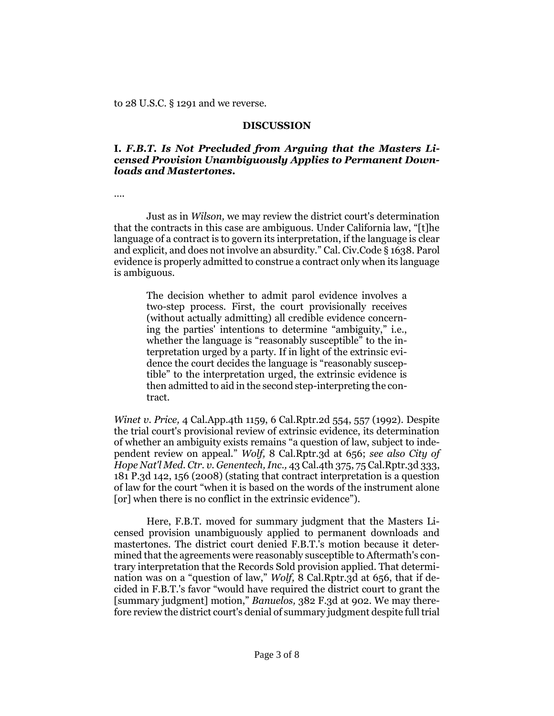to [28 U.S.C. § 1291](http://www.westlaw.com/Find/Default.wl?rs=dfa1.0&vr=2.0&DB=1000546&DocName=28USCAS1291&FindType=L) and we reverse.

#### **DISCUSSION**

## **I.** *F.B.T. Is Not Precluded from Arguing that the Masters Licensed Provision Unambiguously Applies to Permanent Downloads and Mastertones.*

….

Just as in *[Wilson,](http://www.westlaw.com/Find/Default.wl?rs=dfa1.0&vr=2.0&FindType=Y&SerialNum=1990125406)* we may review the district court's determination that the contracts in this case are ambiguous. Under California law, "[t]he language of a contract is to govern its interpretation, if the language is clear and explicit, and does not involve an absurdity." [Cal. Civ.Code § 1638.](http://www.westlaw.com/Find/Default.wl?rs=dfa1.0&vr=2.0&DB=1000200&DocName=CACIS1638&FindType=L) Parol evidence is properly admitted to construe a contract only when its language is ambiguous.

The decision whether to admit parol evidence involves a two-step process. First, the court provisionally receives (without actually admitting) all credible evidence concerning the parties' intentions to determine "ambiguity," i.e., whether the language is "reasonably susceptible" to the interpretation urged by a party. If in light of the extrinsic evidence the court decides the language is "reasonably susceptible" to the interpretation urged, the extrinsic evidence is then admitted to aid in the second step-interpreting the contract.

*[Winet v. Price,](http://www.westlaw.com/Find/Default.wl?rs=dfa1.0&vr=2.0&DB=3484&FindType=Y&ReferencePositionType=S&SerialNum=1992062480&ReferencePosition=557)* [4 Cal.App.4th 1159, 6 Cal.Rptr.2d 554, 557 \(1992\).](http://www.westlaw.com/Find/Default.wl?rs=dfa1.0&vr=2.0&DB=3484&FindType=Y&ReferencePositionType=S&SerialNum=1992062480&ReferencePosition=557) Despite the trial court's provisional review of extrinsic evidence, its determination of whether an ambiguity exists remains "a question of law, subject to independent review on appeal." *[Wolf,](http://www.westlaw.com/Find/Default.wl?rs=dfa1.0&vr=2.0&DB=7047&FindType=Y&ReferencePositionType=S&SerialNum=2004078032&ReferencePosition=656)* [8 Cal.Rptr.3d at 656;](http://www.westlaw.com/Find/Default.wl?rs=dfa1.0&vr=2.0&DB=7047&FindType=Y&ReferencePositionType=S&SerialNum=2004078032&ReferencePosition=656) *see also [City of](http://www.westlaw.com/Find/Default.wl?rs=dfa1.0&vr=2.0&DB=4645&FindType=Y&ReferencePositionType=S&SerialNum=2015870135&ReferencePosition=156)  [Hope Nat'l Med. Ctr. v. Genentech, Inc.,](http://www.westlaw.com/Find/Default.wl?rs=dfa1.0&vr=2.0&DB=4645&FindType=Y&ReferencePositionType=S&SerialNum=2015870135&ReferencePosition=156)* [43 Cal.4th 375, 75 Cal.Rptr.3d 333,](http://www.westlaw.com/Find/Default.wl?rs=dfa1.0&vr=2.0&DB=4645&FindType=Y&ReferencePositionType=S&SerialNum=2015870135&ReferencePosition=156)  [181 P.3d 142, 156 \(2008\)](http://www.westlaw.com/Find/Default.wl?rs=dfa1.0&vr=2.0&DB=4645&FindType=Y&ReferencePositionType=S&SerialNum=2015870135&ReferencePosition=156) (stating that contract interpretation is a question of law for the court "when it is based on the words of the instrument alone [or] when there is no conflict in the extrinsic evidence").

Here, F.B.T. moved for summary judgment that the Masters Licensed provision unambiguously applied to permanent downloads and mastertones. The district court denied F.B.T.'s motion because it determined that the agreements were reasonably susceptible to Aftermath's contrary interpretation that the Records Sold provision applied. That determination was on a "question of law," *Wolf*, [8 Cal.Rptr.3d at 656,](http://www.westlaw.com/Find/Default.wl?rs=dfa1.0&vr=2.0&DB=7047&FindType=Y&ReferencePositionType=S&SerialNum=2004078032&ReferencePosition=656) that if decided in F.B.T.'s favor "would have required the district court to grant the [summary judgment] motion," *[Banuelos,](http://www.westlaw.com/Find/Default.wl?rs=dfa1.0&vr=2.0&DB=506&FindType=Y&ReferencePositionType=S&SerialNum=2004915066&ReferencePosition=902)* [382 F.3d at 902.](http://www.westlaw.com/Find/Default.wl?rs=dfa1.0&vr=2.0&DB=506&FindType=Y&ReferencePositionType=S&SerialNum=2004915066&ReferencePosition=902) We may therefore review the district court's denial of summary judgment despite full trial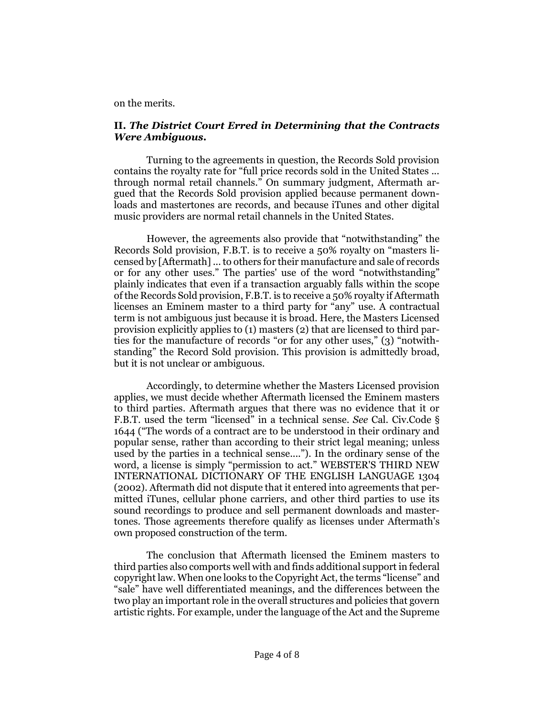on the merits.

### **II.** *The District Court Erred in Determining that the Contracts Were Ambiguous.*

Turning to the agreements in question, the Records Sold provision contains the royalty rate for "full price records sold in the United States ... through normal retail channels." On summary judgment, Aftermath argued that the Records Sold provision applied because permanent downloads and mastertones are records, and because iTunes and other digital music providers are normal retail channels in the United States.

However, the agreements also provide that "notwithstanding" the Records Sold provision, F.B.T. is to receive a 50% royalty on "masters licensed by [Aftermath] ... to others for their manufacture and sale of records or for any other uses." The parties' use of the word "notwithstanding" plainly indicates that even if a transaction arguably falls within the scope of the Records Sold provision, F.B.T. is to receive a 50% royalty if Aftermath licenses an Eminem master to a third party for "any" use. A contractual term is not ambiguous just because it is broad. Here, the Masters Licensed provision explicitly applies to (1) masters (2) that are licensed to third parties for the manufacture of records "or for any other uses," (3) "notwithstanding" the Record Sold provision. This provision is admittedly broad, but it is not unclear or ambiguous.

Accordingly, to determine whether the Masters Licensed provision applies, we must decide whether Aftermath licensed the Eminem masters to third parties. Aftermath argues that there was no evidence that it or F.B.T. used the term "licensed" in a technical sense. *See* [Cal. Civ.Code §](http://www.westlaw.com/Find/Default.wl?rs=dfa1.0&vr=2.0&DB=1000200&DocName=CACIS1644&FindType=L)  [1644](http://www.westlaw.com/Find/Default.wl?rs=dfa1.0&vr=2.0&DB=1000200&DocName=CACIS1644&FindType=L) ("The words of a contract are to be understood in their ordinary and popular sense, rather than according to their strict legal meaning; unless used by the parties in a technical sense...."). In the ordinary sense of the word, a license is simply "permission to act." WEBSTER'S THIRD NEW INTERNATIONAL DICTIONARY OF THE ENGLISH LANGUAGE 1304 (2002). Aftermath did not dispute that it entered into agreements that permitted iTunes, cellular phone carriers, and other third parties to use its sound recordings to produce and sell permanent downloads and mastertones. Those agreements therefore qualify as licenses under Aftermath's own proposed construction of the term.

The conclusion that Aftermath licensed the Eminem masters to third parties also comports well with and finds additional support in federal copyright law. When one looks to the Copyright Act, the terms "license" and "sale" have well differentiated meanings, and the differences between the two play an important role in the overall structures and policies that govern artistic rights. For example, under the language of the Act and the Supreme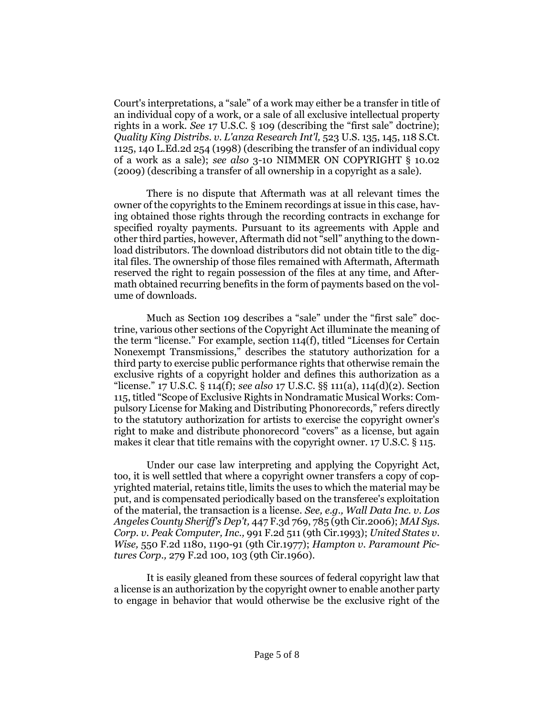Court's interpretations, a "sale" of a work may either be a transfer in title of an individual copy of a work, or a sale of all exclusive intellectual property rights in a work. *See* [17 U.S.C. § 109](http://www.westlaw.com/Find/Default.wl?rs=dfa1.0&vr=2.0&DB=1000546&DocName=17USCAS109&FindType=L) (describing the "first sale" doctrine); *[Quality King Distribs. v. L'anza Research Int'l,](http://www.westlaw.com/Find/Default.wl?rs=dfa1.0&vr=2.0&DB=708&FindType=Y&SerialNum=1998065033)* [523 U.S. 135, 145, 118 S.Ct.](http://www.westlaw.com/Find/Default.wl?rs=dfa1.0&vr=2.0&DB=708&FindType=Y&SerialNum=1998065033)  [1125, 140 L.Ed.2d 254 \(1998\)](http://www.westlaw.com/Find/Default.wl?rs=dfa1.0&vr=2.0&DB=708&FindType=Y&SerialNum=1998065033) (describing the transfer of an individual copy of a work as a sale); *see also* 3-10 NIMMER ON COPYRIGHT § 10.02 (2009) (describing a transfer of all ownership in a copyright as a sale).

There is no dispute that Aftermath was at all relevant times the owner of the copyrights to the Eminem recordings at issue in this case, having obtained those rights through the recording contracts in exchange for specified royalty payments. Pursuant to its agreements with Apple and other third parties, however, Aftermath did not "sell" anything to the download distributors. The download distributors did not obtain title to the digital files. The ownership of those files remained with Aftermath, Aftermath reserved the right to regain possession of the files at any time, and Aftermath obtained recurring benefits in the form of payments based on the volume of downloads.

Much as [Section 109](http://www.westlaw.com/Find/Default.wl?rs=dfa1.0&vr=2.0&DB=1000546&DocName=17USCAS109&FindType=L) describes a "sale" under the "first sale" doctrine, various other sections of the Copyright Act illuminate the meaning of the term "license." For example, [section 114\(f\)](http://www.westlaw.com/Find/Default.wl?rs=dfa1.0&vr=2.0&DB=1000546&DocName=17USCAS114&FindType=L&ReferencePositionType=T&ReferencePosition=SP_ae0d0000c5150), titled "Licenses for Certain Nonexempt Transmissions," describes the statutory authorization for a third party to exercise public performance rights that otherwise remain the exclusive rights of a copyright holder and defines this authorization as a "license." [17 U.S.C. § 114\(f\);](http://www.westlaw.com/Find/Default.wl?rs=dfa1.0&vr=2.0&DB=1000546&DocName=17USCAS114&FindType=L&ReferencePositionType=T&ReferencePosition=SP_ae0d0000c5150) *see also* [17 U.S.C. §§ 111\(a\),](http://www.westlaw.com/Find/Default.wl?rs=dfa1.0&vr=2.0&DB=1000546&DocName=17USCAS111&FindType=L&ReferencePositionType=T&ReferencePosition=SP_8b3b0000958a4) [114\(d\)\(2\).](http://www.westlaw.com/Find/Default.wl?rs=dfa1.0&vr=2.0&DB=1000546&DocName=17USCAS114&FindType=L&ReferencePositionType=T&ReferencePosition=SP_4be3000003be5) [Section](http://www.westlaw.com/Find/Default.wl?rs=dfa1.0&vr=2.0&DB=1000546&DocName=17USCAS115&FindType=L)  [115](http://www.westlaw.com/Find/Default.wl?rs=dfa1.0&vr=2.0&DB=1000546&DocName=17USCAS115&FindType=L), titled "Scope of Exclusive Rights in Nondramatic Musical Works: Compulsory License for Making and Distributing Phonorecords," refers directly to the statutory authorization for artists to exercise the copyright owner's right to make and distribute phonorecord "covers" as a license, but again makes it clear that title remains with the copyright owner. [17 U.S.C. § 115.](http://www.westlaw.com/Find/Default.wl?rs=dfa1.0&vr=2.0&DB=1000546&DocName=17USCAS115&FindType=L)

Under our case law interpreting and applying the Copyright Act, too, it is well settled that where a copyright owner transfers a copy of copyrighted material, retains title, limits the uses to which the material may be put, and is compensated periodically based on the transferee's exploitation of the material, the transaction is a license. *See, e.g., [Wall Data Inc. v. Los](http://www.westlaw.com/Find/Default.wl?rs=dfa1.0&vr=2.0&DB=506&FindType=Y&ReferencePositionType=S&SerialNum=2009170406&ReferencePosition=785)  [Angeles County Sheriff's Dep't,](http://www.westlaw.com/Find/Default.wl?rs=dfa1.0&vr=2.0&DB=506&FindType=Y&ReferencePositionType=S&SerialNum=2009170406&ReferencePosition=785)* [447 F.3d 769, 785 \(9th Cir.2006\);](http://www.westlaw.com/Find/Default.wl?rs=dfa1.0&vr=2.0&DB=506&FindType=Y&ReferencePositionType=S&SerialNum=2009170406&ReferencePosition=785) *[MAI Sys.](http://www.westlaw.com/Find/Default.wl?rs=dfa1.0&vr=2.0&DB=350&FindType=Y&SerialNum=1993084519)  [Corp. v. Peak Computer, Inc.,](http://www.westlaw.com/Find/Default.wl?rs=dfa1.0&vr=2.0&DB=350&FindType=Y&SerialNum=1993084519)* [991 F.2d 511 \(9th Cir.1993\);](http://www.westlaw.com/Find/Default.wl?rs=dfa1.0&vr=2.0&DB=350&FindType=Y&SerialNum=1993084519) *[United States v.](http://www.westlaw.com/Find/Default.wl?rs=dfa1.0&vr=2.0&DB=350&FindType=Y&ReferencePositionType=S&SerialNum=1977104298&ReferencePosition=1190)  [Wise,](http://www.westlaw.com/Find/Default.wl?rs=dfa1.0&vr=2.0&DB=350&FindType=Y&ReferencePositionType=S&SerialNum=1977104298&ReferencePosition=1190)* [550 F.2d 1180, 1190-91 \(9th Cir.1977\);](http://www.westlaw.com/Find/Default.wl?rs=dfa1.0&vr=2.0&DB=350&FindType=Y&ReferencePositionType=S&SerialNum=1977104298&ReferencePosition=1190) *[Hampton v. Paramount Pic](http://www.westlaw.com/Find/Default.wl?rs=dfa1.0&vr=2.0&DB=350&FindType=Y&ReferencePositionType=S&SerialNum=1960113240&ReferencePosition=103)[tures Corp.,](http://www.westlaw.com/Find/Default.wl?rs=dfa1.0&vr=2.0&DB=350&FindType=Y&ReferencePositionType=S&SerialNum=1960113240&ReferencePosition=103)* [279 F.2d 100, 103 \(9th Cir.1960\).](http://www.westlaw.com/Find/Default.wl?rs=dfa1.0&vr=2.0&DB=350&FindType=Y&ReferencePositionType=S&SerialNum=1960113240&ReferencePosition=103)

It is easily gleaned from these sources of federal copyright law that a license is an authorization by the copyright owner to enable another party to engage in behavior that would otherwise be the exclusive right of the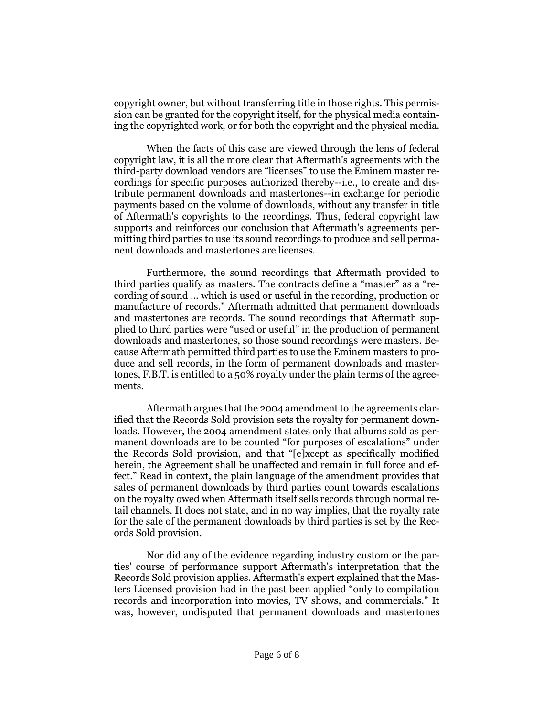copyright owner, but without transferring title in those rights. This permission can be granted for the copyright itself, for the physical media containing the copyrighted work, or for both the copyright and the physical media.

When the facts of this case are viewed through the lens of federal copyright law, it is all the more clear that Aftermath's agreements with the third-party download vendors are "licenses" to use the Eminem master recordings for specific purposes authorized thereby--i.e., to create and distribute permanent downloads and mastertones--in exchange for periodic payments based on the volume of downloads, without any transfer in title of Aftermath's copyrights to the recordings. Thus, federal copyright law supports and reinforces our conclusion that Aftermath's agreements permitting third parties to use its sound recordings to produce and sell permanent downloads and mastertones are licenses.

Furthermore, the sound recordings that Aftermath provided to third parties qualify as masters. The contracts define a "master" as a "recording of sound ... which is used or useful in the recording, production or manufacture of records." Aftermath admitted that permanent downloads and mastertones are records. The sound recordings that Aftermath supplied to third parties were "used or useful" in the production of permanent downloads and mastertones, so those sound recordings were masters. Because Aftermath permitted third parties to use the Eminem masters to produce and sell records, in the form of permanent downloads and mastertones, F.B.T. is entitled to a 50% royalty under the plain terms of the agreements.

Aftermath argues that the 2004 amendment to the agreements clarified that the Records Sold provision sets the royalty for permanent downloads. However, the 2004 amendment states only that albums sold as permanent downloads are to be counted "for purposes of escalations" under the Records Sold provision, and that "[e]xcept as specifically modified herein, the Agreement shall be unaffected and remain in full force and effect." Read in context, the plain language of the amendment provides that sales of permanent downloads by third parties count towards escalations on the royalty owed when Aftermath itself sells records through normal retail channels. It does not state, and in no way implies, that the royalty rate for the sale of the permanent downloads by third parties is set by the Records Sold provision.

Nor did any of the evidence regarding industry custom or the parties' course of performance support Aftermath's interpretation that the Records Sold provision applies. Aftermath's expert explained that the Masters Licensed provision had in the past been applied "only to compilation records and incorporation into movies, TV shows, and commercials." It was, however, undisputed that permanent downloads and mastertones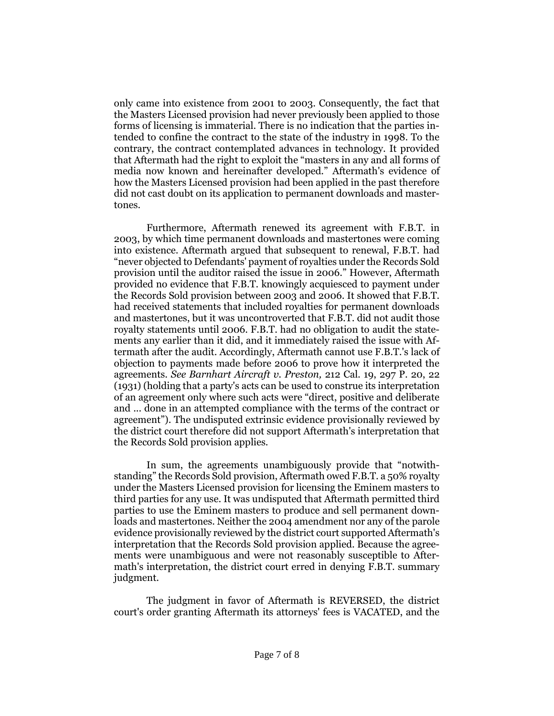only came into existence from 2001 to 2003. Consequently, the fact that the Masters Licensed provision had never previously been applied to those forms of licensing is immaterial. There is no indication that the parties intended to confine the contract to the state of the industry in 1998. To the contrary, the contract contemplated advances in technology. It provided that Aftermath had the right to exploit the "masters in any and all forms of media now known and hereinafter developed." Aftermath's evidence of how the Masters Licensed provision had been applied in the past therefore did not cast doubt on its application to permanent downloads and mastertones.

Furthermore, Aftermath renewed its agreement with F.B.T. in 2003, by which time permanent downloads and mastertones were coming into existence. Aftermath argued that subsequent to renewal, F.B.T. had "never objected to Defendants' payment of royalties under the Records Sold provision until the auditor raised the issue in 2006." However, Aftermath provided no evidence that F.B.T. knowingly acquiesced to payment under the Records Sold provision between 2003 and 2006. It showed that F.B.T. had received statements that included royalties for permanent downloads and mastertones, but it was uncontroverted that F.B.T. did not audit those royalty statements until 2006. F.B.T. had no obligation to audit the statements any earlier than it did, and it immediately raised the issue with Aftermath after the audit. Accordingly, Aftermath cannot use F.B.T.'s lack of objection to payments made before 2006 to prove how it interpreted the agreements. *See [Barnhart Aircraft v. Preston,](http://www.westlaw.com/Find/Default.wl?rs=dfa1.0&vr=2.0&DB=660&FindType=Y&ReferencePositionType=S&SerialNum=1931119761&ReferencePosition=22)* [212 Cal. 19, 297 P. 20, 22](http://www.westlaw.com/Find/Default.wl?rs=dfa1.0&vr=2.0&DB=660&FindType=Y&ReferencePositionType=S&SerialNum=1931119761&ReferencePosition=22)  [\(1931\)](http://www.westlaw.com/Find/Default.wl?rs=dfa1.0&vr=2.0&DB=660&FindType=Y&ReferencePositionType=S&SerialNum=1931119761&ReferencePosition=22) (holding that a party's acts can be used to construe its interpretation of an agreement only where such acts were "direct, positive and deliberate and ... done in an attempted compliance with the terms of the contract or agreement"). The undisputed extrinsic evidence provisionally reviewed by the district court therefore did not support Aftermath's interpretation that the Records Sold provision applies.

In sum, the agreements unambiguously provide that "notwithstanding" the Records Sold provision, Aftermath owed F.B.T. a 50% royalty under the Masters Licensed provision for licensing the Eminem masters to third parties for any use. It was undisputed that Aftermath permitted third parties to use the Eminem masters to produce and sell permanent downloads and mastertones. Neither the 2004 amendment nor any of the parole evidence provisionally reviewed by the district court supported Aftermath's interpretation that the Records Sold provision applied. Because the agreements were unambiguous and were not reasonably susceptible to Aftermath's interpretation, the district court erred in denying F.B.T. summary judgment.

The judgment in favor of Aftermath is REVERSED, the district court's order granting Aftermath its attorneys' fees is VACATED, and the